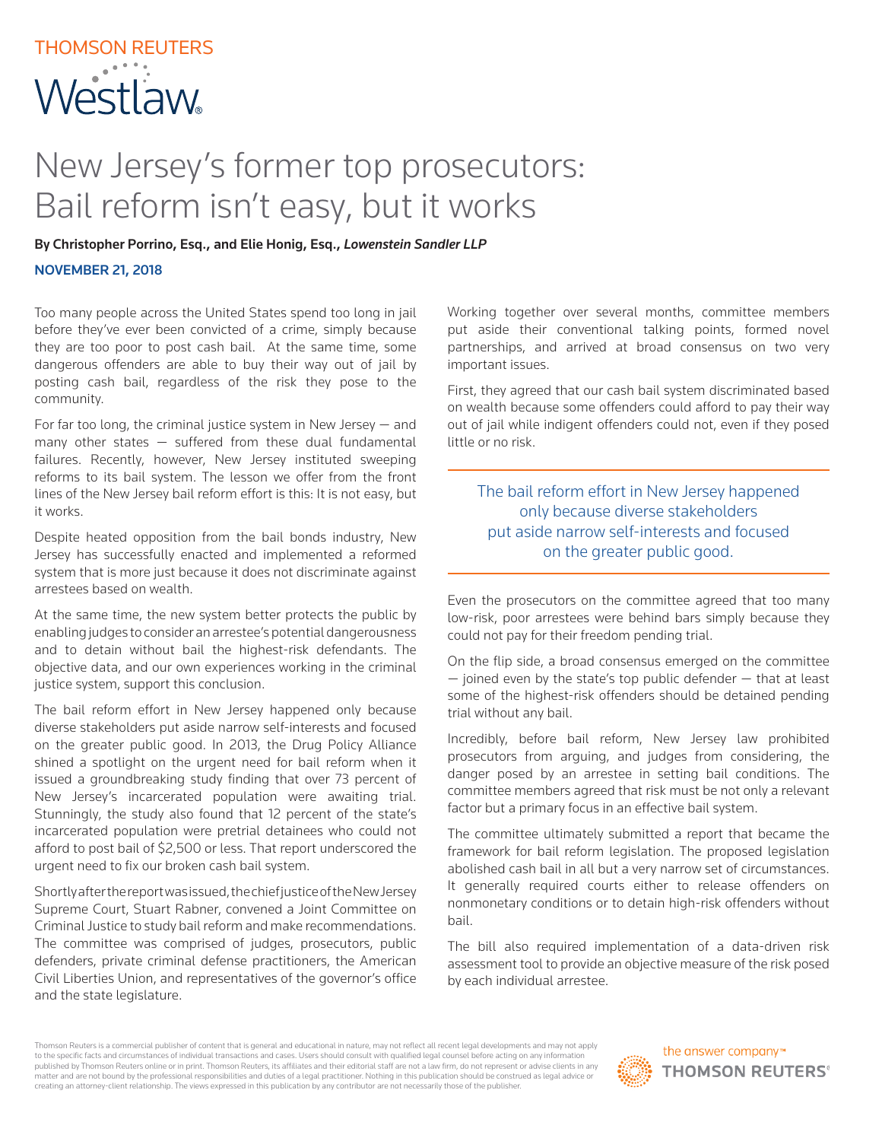## New Jersey's former top prosecutors: Bail reform isn't easy, but it works

By Christopher Porrino, Esq., and Elie Honig, Esq., *Lowenstein Sandler LLP*

NOVEMBER 21, 2018

Too many people across the United States spend too long in jail before they've ever been convicted of a crime, simply because they are too poor to post cash bail. At the same time, some dangerous offenders are able to buy their way out of jail by posting cash bail, regardless of the risk they pose to the community.

For far too long, the criminal justice system in New Jersey  $-$  and many other states — suffered from these dual fundamental failures. Recently, however, New Jersey instituted sweeping reforms to its bail system. The lesson we offer from the front lines of the New Jersey bail reform effort is this: It is not easy, but it works.

Despite heated opposition from the bail bonds industry, New Jersey has successfully enacted and implemented a reformed system that is more just because it does not discriminate against arrestees based on wealth.

At the same time, the new system better protects the public by enabling judges to consider an arrestee's potential dangerousness and to detain without bail the highest-risk defendants. The objective data, and our own experiences working in the criminal justice system, support this conclusion.

The bail reform effort in New Jersey happened only because diverse stakeholders put aside narrow self-interests and focused on the greater public good. In 2013, the Drug Policy Alliance shined a spotlight on the urgent need for bail reform when it issued a groundbreaking study finding that over 73 percent of New Jersey's incarcerated population were awaiting trial. Stunningly, the study also found that 12 percent of the state's incarcerated population were pretrial detainees who could not afford to post bail of \$2,500 or less. That report underscored the urgent need to fix our broken cash bail system.

Shortly after the report was issued, the chief justice of the New Jersey Supreme Court, Stuart Rabner, convened a Joint Committee on Criminal Justice to study bail reform and make recommendations. The committee was comprised of judges, prosecutors, public defenders, private criminal defense practitioners, the American Civil Liberties Union, and representatives of the governor's office and the state legislature.

Working together over several months, committee members put aside their conventional talking points, formed novel partnerships, and arrived at broad consensus on two very important issues.

First, they agreed that our cash bail system discriminated based on wealth because some offenders could afford to pay their way out of jail while indigent offenders could not, even if they posed little or no risk.

The bail reform effort in New Jersey happened only because diverse stakeholders put aside narrow self-interests and focused on the greater public good.

Even the prosecutors on the committee agreed that too many low-risk, poor arrestees were behind bars simply because they could not pay for their freedom pending trial.

On the flip side, a broad consensus emerged on the committee  $-$  joined even by the state's top public defender  $-$  that at least some of the highest-risk offenders should be detained pending trial without any bail.

Incredibly, before bail reform, New Jersey law prohibited prosecutors from arguing, and judges from considering, the danger posed by an arrestee in setting bail conditions. The committee members agreed that risk must be not only a relevant factor but a primary focus in an effective bail system.

The committee ultimately submitted a report that became the framework for bail reform legislation. The proposed legislation abolished cash bail in all but a very narrow set of circumstances. It generally required courts either to release offenders on nonmonetary conditions or to detain high-risk offenders without bail.

The bill also required implementation of a data-driven risk assessment tool to provide an objective measure of the risk posed by each individual arrestee.

Thomson Reuters is a commercial publisher of content that is general and educational in nature, may not reflect all recent legal developments and may not apply to the specific facts and circumstances of individual transactions and cases. Users should consult with qualified legal counsel before acting on any information published by Thomson Reuters online or in print. Thomson Reuters, its affiliates and their editorial staff are not a law firm, do not represent or advise clients in any matter and are not bound by the professional responsibilities and duties of a legal practitioner. Nothing in this publication should be construed as legal advice or creating an attorney-client relationship. The views expressed in this publication by any contributor are not necessarily those of the publisher.

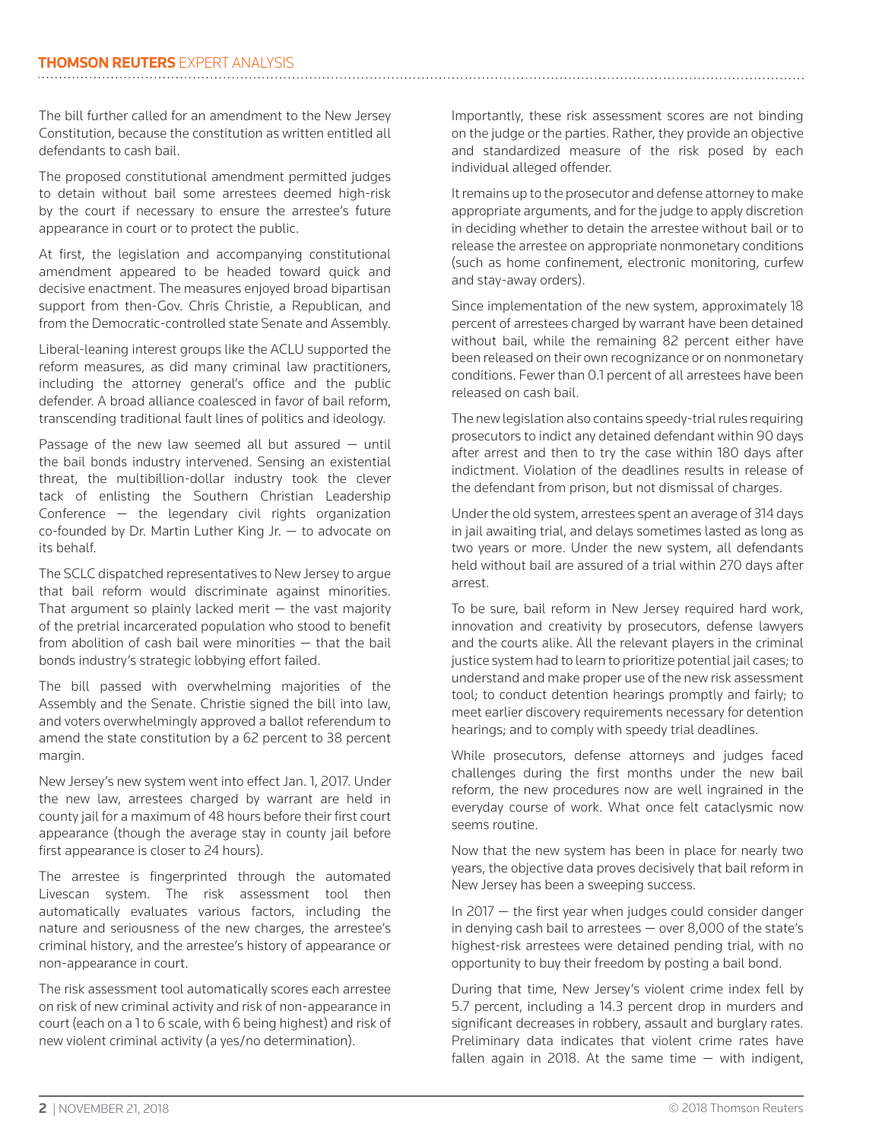The bill further called for an amendment to the New Jersey Constitution, because the constitution as written entitled all defendants to cash bail.

The proposed constitutional amendment permitted judges to detain without bail some arrestees deemed high-risk by the court if necessary to ensure the arrestee's future appearance in court or to protect the public.

At first, the legislation and accompanying constitutional amendment appeared to be headed toward quick and decisive enactment. The measures enjoyed broad bipartisan support from then-Gov. Chris Christie, a Republican, and from the Democratic-controlled state Senate and Assembly.

Liberal-leaning interest groups like the ACLU supported the reform measures, as did many criminal law practitioners, including the attorney general's office and the public defender. A broad alliance coalesced in favor of bail reform, transcending traditional fault lines of politics and ideology.

Passage of the new law seemed all but assured  $-$  until the bail bonds industry intervened. Sensing an existential threat, the multibillion-dollar industry took the clever tack of enlisting the Southern Christian Leadership Conference — the legendary civil rights organization co-founded by Dr. Martin Luther King Jr. — to advocate on its behalf.

The SCLC dispatched representatives to New Jersey to argue that bail reform would discriminate against minorities. That argument so plainly lacked merit  $-$  the vast majority of the pretrial incarcerated population who stood to benefit from abolition of cash bail were minorities — that the bail bonds industry's strategic lobbying effort failed.

The bill passed with overwhelming majorities of the Assembly and the Senate. Christie signed the bill into law, and voters overwhelmingly approved a ballot referendum to amend the state constitution by a 62 percent to 38 percent margin.

New Jersey's new system went into effect Jan. 1, 2017. Under the new law, arrestees charged by warrant are held in county jail for a maximum of 48 hours before their first court appearance (though the average stay in county jail before first appearance is closer to 24 hours).

The arrestee is fingerprinted through the automated Livescan system. The risk assessment tool then automatically evaluates various factors, including the nature and seriousness of the new charges, the arrestee's criminal history, and the arrestee's history of appearance or non-appearance in court.

The risk assessment tool automatically scores each arrestee on risk of new criminal activity and risk of non-appearance in court (each on a 1 to 6 scale, with 6 being highest) and risk of new violent criminal activity (a yes/no determination).

Importantly, these risk assessment scores are not binding on the judge or the parties. Rather, they provide an objective and standardized measure of the risk posed by each individual alleged offender.

It remains up to the prosecutor and defense attorney to make appropriate arguments, and for the judge to apply discretion in deciding whether to detain the arrestee without bail or to release the arrestee on appropriate nonmonetary conditions (such as home confinement, electronic monitoring, curfew and stay-away orders).

Since implementation of the new system, approximately 18 percent of arrestees charged by warrant have been detained without bail, while the remaining 82 percent either have been released on their own recognizance or on nonmonetary conditions. Fewer than 0.1 percent of all arrestees have been released on cash bail.

The new legislation also contains speedy-trial rules requiring prosecutors to indict any detained defendant within 90 days after arrest and then to try the case within 180 days after indictment. Violation of the deadlines results in release of the defendant from prison, but not dismissal of charges.

Under the old system, arrestees spent an average of 314 days in jail awaiting trial, and delays sometimes lasted as long as two years or more. Under the new system, all defendants held without bail are assured of a trial within 270 days after arrest.

To be sure, bail reform in New Jersey required hard work, innovation and creativity by prosecutors, defense lawyers and the courts alike. All the relevant players in the criminal justice system had to learn to prioritize potential jail cases; to understand and make proper use of the new risk assessment tool; to conduct detention hearings promptly and fairly; to meet earlier discovery requirements necessary for detention hearings; and to comply with speedy trial deadlines.

While prosecutors, defense attorneys and judges faced challenges during the first months under the new bail reform, the new procedures now are well ingrained in the everyday course of work. What once felt cataclysmic now seems routine.

Now that the new system has been in place for nearly two years, the objective data proves decisively that bail reform in New Jersey has been a sweeping success.

In 2017 — the first year when judges could consider danger in denying cash bail to arrestees — over 8,000 of the state's highest-risk arrestees were detained pending trial, with no opportunity to buy their freedom by posting a bail bond.

During that time, New Jersey's violent crime index fell by 5.7 percent, including a 14.3 percent drop in murders and significant decreases in robbery, assault and burglary rates. Preliminary data indicates that violent crime rates have fallen again in 2018. At the same time  $-$  with indigent,